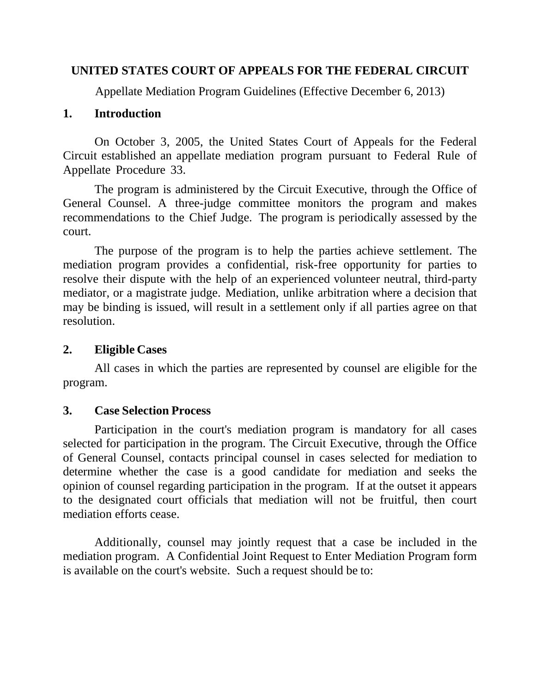## **UNITED STATES COURT OF APPEALS FOR THE FEDERAL CIRCUIT**

Appellate Mediation Program Guidelines (Effective December 6, 2013)

## **1. Introduction**

On October 3, 2005, the United States Court of Appeals for the Federal Circuit established an appellate mediation program pursuant to Federal Rule of Appellate Procedure 33.

The program is administered by the Circuit Executive, through the Office of General Counsel. A three-judge committee monitors the program and makes recommendations to the Chief Judge. The program is periodically assessed by the court.

The purpose of the program is to help the parties achieve settlement. The mediation program provides a confidential, risk-free opportunity for parties to resolve their dispute with the help of an experienced volunteer neutral, third-party mediator, or a magistrate judge. Mediation, unlike arbitration where a decision that may be binding is issued, will result in a settlement only if all parties agree on that resolution.

# **2. Eligible Cases**

All cases in which the parties are represented by counsel are eligible for the program.

# **3. Case Selection Process**

Participation in the court's mediation program is mandatory for all cases selected for participation in the program. The Circuit Executive, through the Office of General Counsel, contacts principal counsel in cases selected for mediation to determine whether the case is a good candidate for mediation and seeks the opinion of counsel regarding participation in the program. If at the outset it appears to the designated court officials that mediation will not be fruitful, then court mediation efforts cease.

Additionally, counsel may jointly request that a case be included in the mediation program. A Confidential Joint Request to Enter Mediation Program form is available on the court's website. Such a request should be to: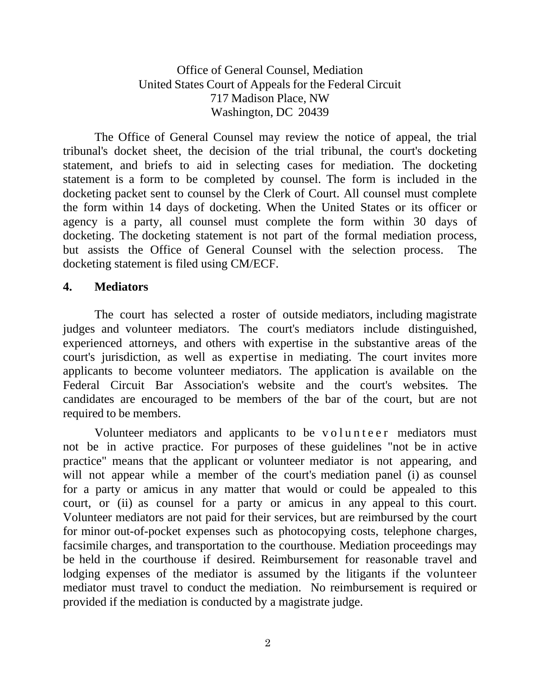Office of General Counsel, Mediation United States Court of Appeals for the Federal Circuit 717 Madison Place, NW Washington, DC 20439

The Office of General Counsel may review the notice of appeal, the trial tribunal's docket sheet, the decision of the trial tribunal, the court's docketing statement, and briefs to aid in selecting cases for mediation. The docketing statement is a form to be completed by counsel. The form is included in the docketing packet sent to counsel by the Clerk of Court. All counsel must complete the form within 14 days of docketing. When the United States or its officer or agency is a party, all counsel must complete the form within 30 days of docketing. The docketing statement is not part of the formal mediation process, but assists the Office of General Counsel with the selection process. The docketing statement is filed using CM/ECF.

#### **4. Mediators**

The court has selected a roster of outside mediators, including magistrate judges and volunteer mediators. The court's mediators include distinguished, experienced attorneys, and others with expertise in the substantive areas of the court's jurisdiction, as well as expertise in mediating. The court invites more applicants to become volunteer mediators. The application is available on the Federal Circuit Bar Association's website and the court's websites. The candidates are encouraged to be members of the bar of the court, but are not required to be members.

Volunteer mediators and applicants to be volunteer mediators must not be in active practice. For purposes of these guidelines "not be in active practice" means that the applicant or volunteer mediator is not appearing, and will not appear while a member of the court's mediation panel (i) as counsel for a party or amicus in any matter that would or could be appealed to this court, or (ii) as counsel for a party or amicus in any appeal to this court. Volunteer mediators are not paid for their services, but are reimbursed by the court for minor out-of-pocket expenses such as photocopying costs, telephone charges, facsimile charges, and transportation to the courthouse. Mediation proceedings may be held in the courthouse if desired. Reimbursement for reasonable travel and lodging expenses of the mediator is assumed by the litigants if the volunteer mediator must travel to conduct the mediation. No reimbursement is required or provided if the mediation is conducted by a magistrate judge.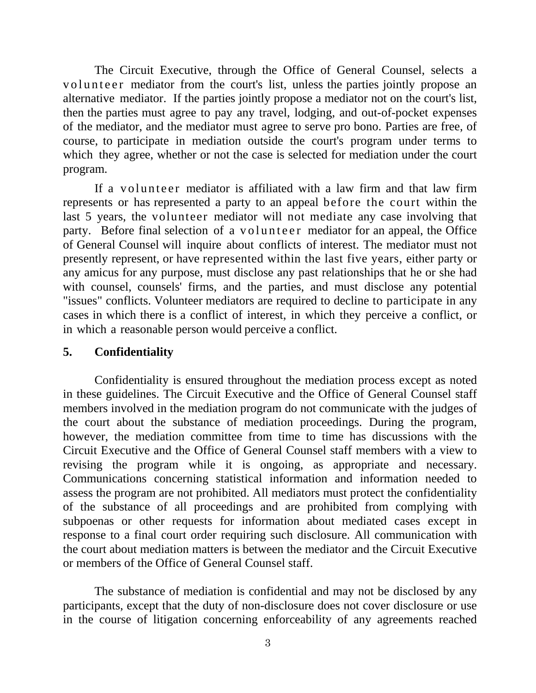The Circuit Executive, through the Office of General Counsel, selects a volunteer mediator from the court's list, unless the parties jointly propose an alternative mediator. If the parties jointly propose a mediator not on the court's list, then the parties must agree to pay any travel, lodging, and out-of-pocket expenses of the mediator, and the mediator must agree to serve pro bono. Parties are free, of course, to participate in mediation outside the court's program under terms to which they agree, whether or not the case is selected for mediation under the court program.

If a volunteer mediator is affiliated with a law firm and that law firm represents or has represented a party to an appeal before the court within the last 5 years, the volunteer mediator will not mediate any case involving that party. Before final selection of a volunteer mediator for an appeal, the Office of General Counsel will inquire about conflicts of interest. The mediator must not presently represent, or have represented within the last five years, either party or any amicus for any purpose, must disclose any past relationships that he or she had with counsel, counsels' firms, and the parties, and must disclose any potential "issues" conflicts. Volunteer mediators are required to decline to participate in any cases in which there is a conflict of interest, in which they perceive a conflict, or in which a reasonable person would perceive a conflict.

#### **5. Confidentiality**

Confidentiality is ensured throughout the mediation process except as noted in these guidelines. The Circuit Executive and the Office of General Counsel staff members involved in the mediation program do not communicate with the judges of the court about the substance of mediation proceedings. During the program, however, the mediation committee from time to time has discussions with the Circuit Executive and the Office of General Counsel staff members with a view to revising the program while it is ongoing, as appropriate and necessary. Communications concerning statistical information and information needed to assess the program are not prohibited. All mediators must protect the confidentiality of the substance of all proceedings and are prohibited from complying with subpoenas or other requests for information about mediated cases except in response to a final court order requiring such disclosure. All communication with the court about mediation matters is between the mediator and the Circuit Executive or members of the Office of General Counsel staff.

The substance of mediation is confidential and may not be disclosed by any participants, except that the duty of non-disclosure does not cover disclosure or use in the course of litigation concerning enforceability of any agreements reached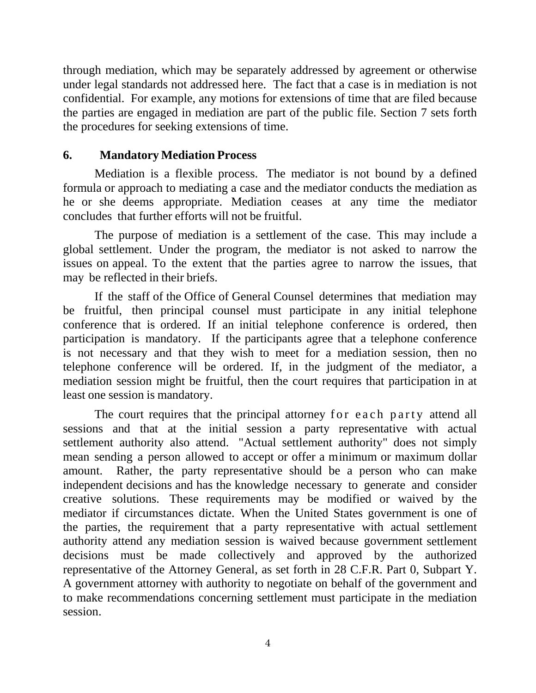through mediation, which may be separately addressed by agreement or otherwise under legal standards not addressed here. The fact that a case is in mediation is not confidential. For example, any motions for extensions of time that are filed because the parties are engaged in mediation are part of the public file. Section 7 sets forth the procedures for seeking extensions of time.

### **6. Mandatory Mediation Process**

Mediation is a flexible process. The mediator is not bound by a defined formula or approach to mediating a case and the mediator conducts the mediation as he or she deems appropriate. Mediation ceases at any time the mediator concludes that further efforts will not be fruitful.

The purpose of mediation is a settlement of the case. This may include a global settlement. Under the program, the mediator is not asked to narrow the issues on appeal. To the extent that the parties agree to narrow the issues, that may be reflected in their briefs.

If the staff of the Office of General Counsel determines that mediation may be fruitful, then principal counsel must participate in any initial telephone conference that is ordered. If an initial telephone conference is ordered, then participation is mandatory. If the participants agree that a telephone conference is not necessary and that they wish to meet for a mediation session, then no telephone conference will be ordered. If, in the judgment of the mediator, a mediation session might be fruitful, then the court requires that participation in at least one session is mandatory.

The court requires that the principal attorney for each party attend all sessions and that at the initial session a party representative with actual settlement authority also attend. "Actual settlement authority" does not simply mean sending a person allowed to accept or offer a minimum or maximum dollar amount. Rather, the party representative should be a person who can make independent decisions and has the knowledge necessary to generate and consider creative solutions. These requirements may be modified or waived by the mediator if circumstances dictate. When the United States government is one of the parties, the requirement that a party representative with actual settlement authority attend any mediation session is waived because government settlement decisions must be made collectively and approved by the authorized representative of the Attorney General, as set forth in 28 C.F.R. Part 0, Subpart Y. A government attorney with authority to negotiate on behalf of the government and to make recommendations concerning settlement must participate in the mediation session.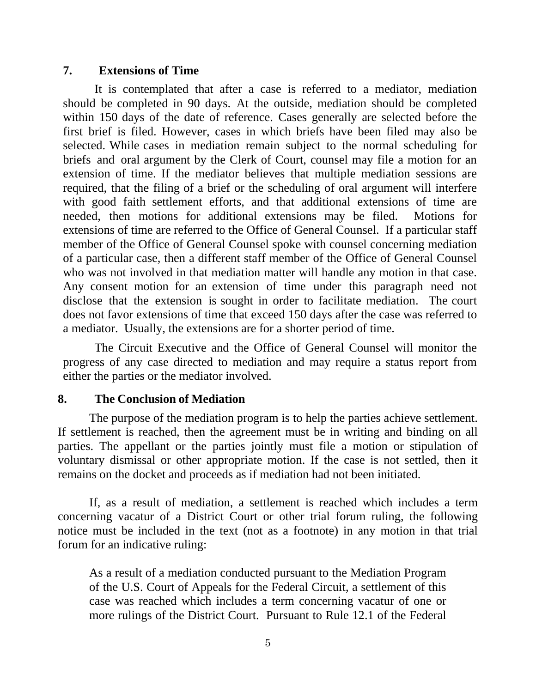#### **7. Extensions of Time**

It is contemplated that after a case is referred to a mediator, mediation should be completed in 90 days. At the outside, mediation should be completed within 150 days of the date of reference. Cases generally are selected before the first brief is filed. However, cases in which briefs have been filed may also be selected. While cases in mediation remain subject to the normal scheduling for briefs and oral argument by the Clerk of Court, counsel may file a motion for an extension of time. If the mediator believes that multiple mediation sessions are required, that the filing of a brief or the scheduling of oral argument will interfere with good faith settlement efforts, and that additional extensions of time are needed, then motions for additional extensions may be filed. Motions for extensions of time are referred to the Office of General Counsel. If a particular staff member of the Office of General Counsel spoke with counsel concerning mediation of a particular case, then a different staff member of the Office of General Counsel who was not involved in that mediation matter will handle any motion in that case. Any consent motion for an extension of time under this paragraph need not disclose that the extension is sought in order to facilitate mediation. The court does not favor extensions of time that exceed 150 days after the case was referred to a mediator. Usually, the extensions are for a shorter period of time.

The Circuit Executive and the Office of General Counsel will monitor the progress of any case directed to mediation and may require a status report from either the parties or the mediator involved.

#### **8. The Conclusion of Mediation**

The purpose of the mediation program is to help the parties achieve settlement. If settlement is reached, then the agreement must be in writing and binding on all parties. The appellant or the parties jointly must file a motion or stipulation of voluntary dismissal or other appropriate motion. If the case is not settled, then it remains on the docket and proceeds as if mediation had not been initiated.

If, as a result of mediation, a settlement is reached which includes a term concerning vacatur of a District Court or other trial forum ruling, the following notice must be included in the text (not as a footnote) in any motion in that trial forum for an indicative ruling:

As a result of a mediation conducted pursuant to the Mediation Program of the U.S. Court of Appeals for the Federal Circuit, a settlement of this case was reached which includes a term concerning vacatur of one or more rulings of the District Court. Pursuant to Rule 12.1 of the Federal